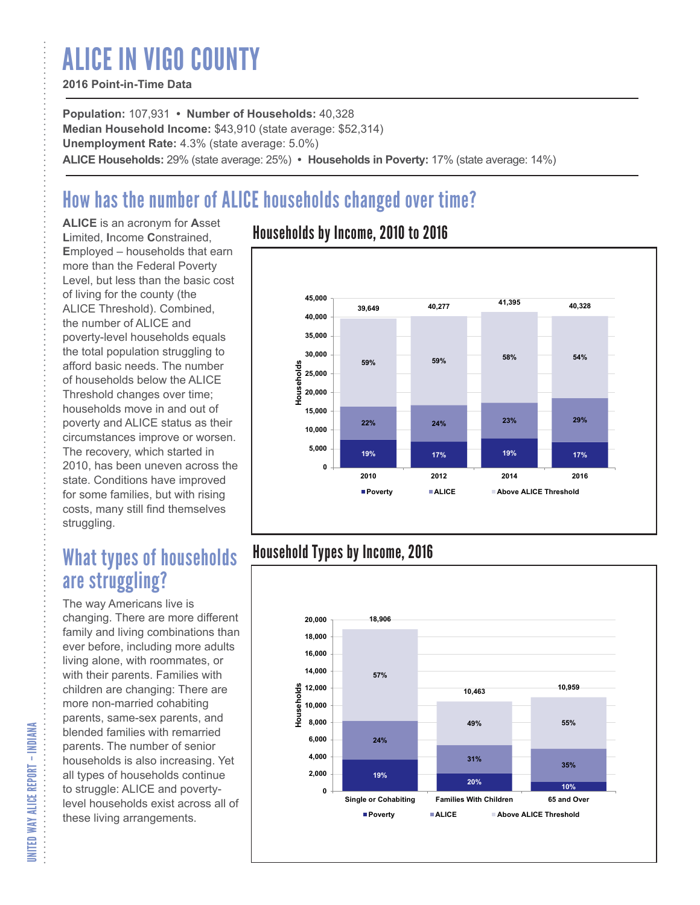# ALICE IN VIGO COUNTY

#### **2016 Point-in-Time Data**

**Population:** 107,931 **• Number of Households:** 40,328 **Median Household Income:** \$43,910 (state average: \$52,314) **Unemployment Rate:** 4.3% (state average: 5.0%) **ALICE Households:** 29% (state average: 25%) **• Households in Poverty:** 17% (state average: 14%)

## How has the number of ALICE households changed over time?

**ALICE** is an acronym for **A**sset **L**imited, **I**ncome **C**onstrained, **E**mployed – households that earn more than the Federal Poverty Level, but less than the basic cost of living for the county (the ALICE Threshold). Combined, the number of ALICE and poverty-level households equals the total population struggling to afford basic needs. The number of households below the ALICE Threshold changes over time; households move in and out of poverty and ALICE status as their circumstances improve or worsen. The recovery, which started in 2010, has been uneven across the state. Conditions have improved for some families, but with rising costs, many still find themselves struggling.

### What types of households are struggling?

The way Americans live is changing. There are more different family and living combinations than ever before, including more adults living alone, with roommates, or with their parents. Families with children are changing: There are more non-married cohabiting parents, same-sex parents, and blended families with remarried parents. The number of senior households is also increasing. Yet all types of households continue to struggle: ALICE and povertylevel households exist across all of these living arrangements.

### Households by Income, 2010 to 2016



### Household Types by Income, 2016